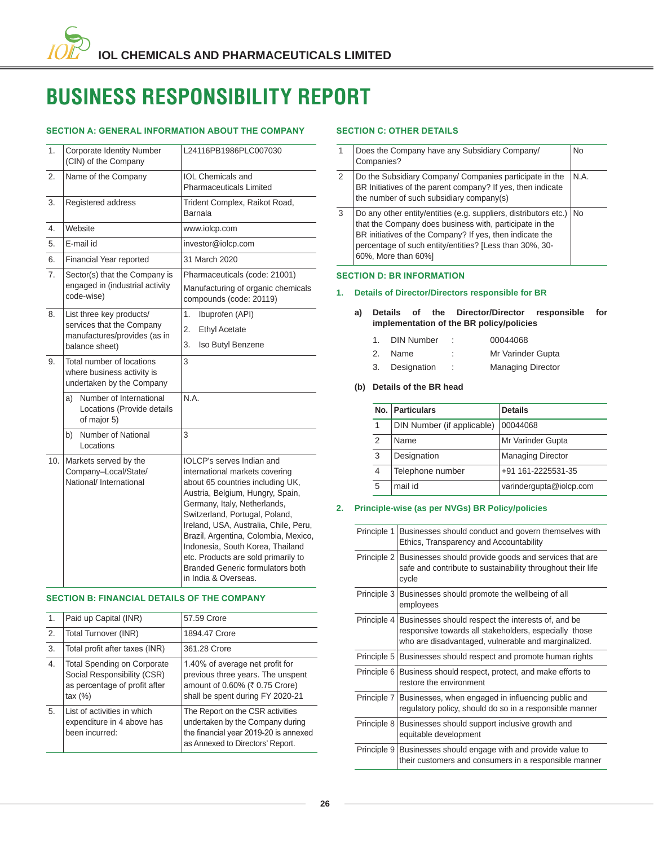# **BUSINESS RESPONSIBILITY REPORT**

# **6ECTION A: GENERAL INFORMATION ABOUT THE COMPANY**

| 1.  | <b>Corporate Identity Number</b><br>(CIN) of the Company                             | L24116PB1986PLC007030                                                                                                                                                                                                                                                                                                                                                                                                                |  |  |  |  |
|-----|--------------------------------------------------------------------------------------|--------------------------------------------------------------------------------------------------------------------------------------------------------------------------------------------------------------------------------------------------------------------------------------------------------------------------------------------------------------------------------------------------------------------------------------|--|--|--|--|
| 2.  | Name of the Company                                                                  | <b>IOL Chemicals and</b><br>Pharmaceuticals Limited                                                                                                                                                                                                                                                                                                                                                                                  |  |  |  |  |
| 3.  | Registered address                                                                   | Trident Complex, Raikot Road,<br>Barnala                                                                                                                                                                                                                                                                                                                                                                                             |  |  |  |  |
| 4.  | Website                                                                              | www.iolcp.com                                                                                                                                                                                                                                                                                                                                                                                                                        |  |  |  |  |
| 5.  | F-mail id                                                                            | investor@iolcp.com                                                                                                                                                                                                                                                                                                                                                                                                                   |  |  |  |  |
| 6.  | Financial Year reported                                                              | 31 March 2020                                                                                                                                                                                                                                                                                                                                                                                                                        |  |  |  |  |
| 7.  | Sector(s) that the Company is<br>engaged in (industrial activity<br>code-wise)       | Pharmaceuticals (code: 21001)<br>Manufacturing of organic chemicals<br>compounds (code: 20119)                                                                                                                                                                                                                                                                                                                                       |  |  |  |  |
| 8.  | List three key products/                                                             | 1.<br>Ibuprofen (API)                                                                                                                                                                                                                                                                                                                                                                                                                |  |  |  |  |
|     | services that the Company<br>manufactures/provides (as in                            | $\overline{2}$ .<br><b>Ethyl Acetate</b>                                                                                                                                                                                                                                                                                                                                                                                             |  |  |  |  |
|     | balance sheet)                                                                       | 3.<br>Iso Butyl Benzene                                                                                                                                                                                                                                                                                                                                                                                                              |  |  |  |  |
| 9.  | Total number of locations<br>where business activity is<br>undertaken by the Company | 3                                                                                                                                                                                                                                                                                                                                                                                                                                    |  |  |  |  |
|     | Number of International<br>a)<br>Locations (Provide details<br>of major 5)           | N.A.                                                                                                                                                                                                                                                                                                                                                                                                                                 |  |  |  |  |
|     | Number of National<br>b)<br>Locations                                                | 3                                                                                                                                                                                                                                                                                                                                                                                                                                    |  |  |  |  |
| 10. | Markets served by the<br>Company-Local/State/<br>National/ International             | <b>IOLCP's serves Indian and</b><br>international markets covering<br>about 65 countries including UK,<br>Austria, Belgium, Hungry, Spain,<br>Germany, Italy, Netherlands,<br>Switzerland, Portugal, Poland,<br>Ireland, USA, Australia, Chile, Peru,<br>Brazil, Argentina, Colombia, Mexico,<br>Indonesia, South Korea, Thailand<br>etc. Products are sold primarily to<br>Branded Generic formulators both<br>in India & Overseas. |  |  |  |  |

# **6ECTION B: FINANCIAL DETAILS OF THE COMPANY**

| 1. | Paid up Capital (INR)                                                                                     | 57.59 Crore                                                                                                                                       |
|----|-----------------------------------------------------------------------------------------------------------|---------------------------------------------------------------------------------------------------------------------------------------------------|
| 2. | Total Turnover (INR)                                                                                      | 1894.47 Crore                                                                                                                                     |
| 3. | Total profit after taxes (INR)                                                                            | 361.28 Crore                                                                                                                                      |
| 4. | Total Spending on Corporate<br>Social Responsibility (CSR)<br>as percentage of profit after<br>tax $(\%)$ | 1.40% of average net profit for<br>previous three years. The unspent<br>amount of 0.60% (₹ 0.75 Crore)<br>shall be spent during FY 2020-21        |
| 5. | List of activities in which<br>expenditure in 4 above has<br>been incurred:                               | The Report on the CSR activities<br>undertaken by the Company during<br>the financial year 2019-20 is annexed<br>as Annexed to Directors' Report. |

# **SECTION C: OTHER DETAILS**

|   | Does the Company have any Subsidiary Company/<br>Companies?                                                                                                                                                                                                               | <b>No</b> |
|---|---------------------------------------------------------------------------------------------------------------------------------------------------------------------------------------------------------------------------------------------------------------------------|-----------|
| 2 | Do the Subsidiary Company/ Companies participate in the<br>BR Initiatives of the parent company? If yes, then indicate<br>the number of such subsidiary company(s)                                                                                                        | N.A.      |
| 3 | Do any other entity/entities (e.g. suppliers, distributors etc.)<br>that the Company does business with, participate in the<br>BR initiatives of the Company? If yes, then indicate the<br>percentage of such entity/entities? [Less than 30%, 30-<br>60%, More than 60%] | l No      |

# **SECTION D: BR INFORMATION**

# **1. Details of Director/Directors responsible for BR**

- **a) Details of the Director/Director responsible for implementation of the BR policy/policies**
	- 1. DIN Number : 00044068
	- 2. Name : Mr Varinder Gupta
	- 3. Designation : Managing Director

# **(b) Details of the BR head**

| No. | Particulars                | <b>Details</b>           |
|-----|----------------------------|--------------------------|
| 1   | DIN Number (if applicable) | 00044068                 |
| 2   | Name                       | Mr Varinder Gupta        |
| 3   | Designation                | <b>Managing Director</b> |
| 4   | Telephone number           | +91 161-2225531-35       |
| 5   | mail id                    | varindergupta@iolcp.com  |

# **2. Principle-wise (as per NVGs) BR Policy/policies**

| Principle 1 | Businesses should conduct and govern themselves with<br>Ethics, Transparency and Accountability                                                                                |
|-------------|--------------------------------------------------------------------------------------------------------------------------------------------------------------------------------|
|             | Principle 2 Businesses should provide goods and services that are<br>safe and contribute to sustainability throughout their life<br>cycle                                      |
|             | Principle 3 Businesses should promote the wellbeing of all<br>employees                                                                                                        |
|             | Principle 4 Businesses should respect the interests of, and be<br>responsive towards all stakeholders, especially those<br>who are disadvantaged, vulnerable and marginalized. |
|             | Principle 5 Businesses should respect and promote human rights                                                                                                                 |
|             | Principle 6 Business should respect, protect, and make efforts to<br>restore the environment                                                                                   |
|             | Principle 7   Businesses, when engaged in influencing public and<br>regulatory policy, should do so in a responsible manner                                                    |
|             | Principle 8 Businesses should support inclusive growth and<br>equitable development                                                                                            |
|             | Principle 9   Businesses should engage with and provide value to<br>their customers and consumers in a responsible manner                                                      |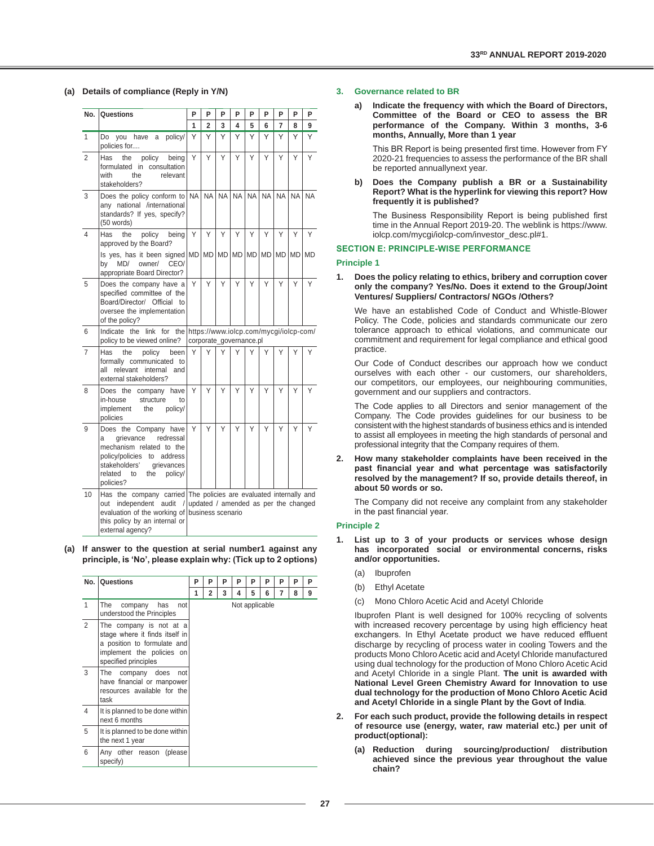#### **(a) Details of compliance (Reply in Y/N)**

| No.            | Questions                                                                                                                                                                                                             | P         | P                       | P    | P         | P  | P         | P                                    | P         | P         |
|----------------|-----------------------------------------------------------------------------------------------------------------------------------------------------------------------------------------------------------------------|-----------|-------------------------|------|-----------|----|-----------|--------------------------------------|-----------|-----------|
|                |                                                                                                                                                                                                                       | 1         | $\overline{2}$          | 3    | 4         | 5  | 6         | 7                                    | 8         | 9         |
| $\mathbf{1}$   | policy/<br>Do<br>you have<br>a<br>policies for                                                                                                                                                                        | Υ         | Υ                       | Υ    | Υ         | Υ  | Υ         | Υ                                    | Υ         | Υ         |
| $\overline{2}$ | policy<br>being<br>Has<br>the<br>formulated in consultation<br>with<br>the<br>relevant<br>stakeholders?                                                                                                               | Υ         | Y                       | Υ    | Υ         | Υ  | Υ         | Y                                    | Υ         | Υ         |
| 3              | Does the policy conform to<br>any national /international<br>standards? If yes, specify?<br>(50 words)                                                                                                                | <b>NA</b> | <b>NA</b>               | NA I | <b>NA</b> | NA | <b>NA</b> | <b>NA</b>                            | <b>NA</b> | <b>NA</b> |
| $\overline{4}$ | the<br>policy<br>being<br>Has<br>approved by the Board?                                                                                                                                                               | Υ         | Υ                       | Y    | Y         | Υ  | Υ         | Υ                                    | Υ         | Υ         |
|                | Is yes, has it been signed MD MD MD MD MD MD MD MD MD MD MD<br>MD/<br>owner/ CEO/<br>by<br>appropriate Board Director?                                                                                                |           |                         |      |           |    |           |                                      |           |           |
| 5              | Does the company have a<br>specified committee of the<br>Board/Director/ Official<br>to<br>oversee the implementation<br>of the policy?                                                                               | Y         | Υ                       | Υ    | Y         | Υ  | Υ         | Y                                    | Y         | Y         |
| 6              | Indicate the link for the https://www.iolcp.com/mycgi/iolcp-com/<br>policy to be viewed online?                                                                                                                       |           | corporate_governance.pl |      |           |    |           |                                      |           |           |
| $\overline{7}$ | the<br>been<br>Has<br>policy<br>formally communicated to<br>all<br>relevant<br>internal<br>and<br>external stakeholders?                                                                                              | Υ         | Υ                       | Υ    | Υ         | Υ  | Υ         | Υ                                    | Υ         | Υ         |
| 8              | Does the company<br>have<br>in-house<br>structure<br>to<br>implement<br>the<br>policy/<br>policies                                                                                                                    | Υ         | Y                       | Y    | Υ         | Υ  | Υ         | Υ                                    | Υ         | Υ         |
| 9              | Does the Company have<br>grievance<br>redressal<br>a<br>mechanism related to the<br>policy/policies<br>to<br>address<br>stakeholders'<br>grievances<br>related<br>to<br>the<br>policy/<br>policies?                   | Υ         | Υ                       | Υ    | Υ         | Υ  | Υ         | Υ                                    | Υ         | Υ         |
| 10             | Has the company carried The policies are evaluated internally and<br>audit<br>independent<br>$\sqrt{ }$<br>out<br>evaluation of the working of business scenario<br>this policy by an internal or<br>external agency? |           |                         |      |           |    |           | updated / amended as per the changed |           |           |

 **(a) If answer to the question at serial number1 against any**  principle, is 'No', please explain why: (Tick up to 2 options)

| No.            | Questions                                                                                                                                     | P | P              | P | P              | Р | P | P | P | P |
|----------------|-----------------------------------------------------------------------------------------------------------------------------------------------|---|----------------|---|----------------|---|---|---|---|---|
|                |                                                                                                                                               | 1 | $\overline{2}$ | 3 | 4              | 5 | 6 | 7 | 8 | 9 |
| $\mathbf{1}$   | The<br>has<br>company<br>not<br>understood the Principles                                                                                     |   |                |   | Not applicable |   |   |   |   |   |
| $\overline{2}$ | The company is not at a<br>stage where it finds itself in<br>a position to formulate and<br>implement the policies on<br>specified principles |   |                |   |                |   |   |   |   |   |
| 3              | company does<br>The<br>not<br>have financial or manpower<br>resources available for the<br>task                                               |   |                |   |                |   |   |   |   |   |
| $\overline{4}$ | It is planned to be done within<br>next 6 months                                                                                              |   |                |   |                |   |   |   |   |   |
| 5              | It is planned to be done within<br>the next 1 year                                                                                            |   |                |   |                |   |   |   |   |   |
| 6              | Any other reason (please<br>specify)                                                                                                          |   |                |   |                |   |   |   |   |   |

#### **3. Governance related to BR**

 **a) Indicate the frequency with which the Board of Directors, Committee of the Board or CEO to assess the BR performance of the Company. Within 3 months, 3-6 months, Annually, More than 1 year**

This BR Report is being presented first time. However from FY 2020-21 frequencies to assess the performance of the BR shall be reported annuallynext year.

 **b) Does the Company publish a BR or a Sustainability Report? What is the hyperlink for viewing this report? How frequently it is published?**

The Business Responsibility Report is being published first time in the Annual Report 2019-20. The weblink is https://www. iolcp.com/mycgi/iolcp-com/investor\_desc.pl#1.

## **SECTION E: PRINCIPLE-WISE PERFORMANCE**

## **Principle 1**

**1. Does the policy relating to ethics, bribery and corruption cover only the company? Yes/No. Does it extend to the Group/Joint Ventures/ Suppliers/ Contractors/ NGOs /Others?**

 We have an established Code of Conduct and Whistle-Blower Policy. The Code, policies and standards communicate our zero tolerance approach to ethical violations, and communicate our commitment and requirement for legal compliance and ethical good practice.

 Our Code of Conduct describes our approach how we conduct ourselves with each other - our customers, our shareholders, our competitors, our employees, our neighbouring communities, government and our suppliers and contractors.

 The Code applies to all Directors and senior management of the Company. The Code provides guidelines for our business to be consistent with the highest standards of business ethics and is intended to assist all employees in meeting the high standards of personal and professional integrity that the Company requires of them.

**2. How many stakeholder complaints have been received in the**  past financial year and what percentage was satisfactorily **resolved by the management? If so, provide details thereof, in about 50 words or so.**

 The Company did not receive any complaint from any stakeholder in the past financial year.

# **Principle 2**

- List up to 3 of your products or services whose design **has incorporated social or environmental concerns, risks and/or opportunities.**
	- (a) Ibuprofen
	- (b) Ethyl Acetate
	- (c) Mono Chloro Acetic Acid and Acetyl Chloride

 Ibuprofen Plant is well designed for 100% recycling of solvents with increased recovery percentage by using high efficiency heat exchangers. In Ethyl Acetate product we have reduced effluent discharge by recycling of process water in cooling Towers and the products Mono Chloro Acetic acid and Acetyl Chloride manufactured using dual technology for the production of Mono Chloro Acetic Acid and Acetyl Chloride in a single Plant. **The unit is awarded with National Level Green Chemistry Award for Innovation to use dual technology for the production of Mono Chloro Acetic Acid and Acetyl Chloride in a single Plant by the Govt of India**.

- **2. For each such product, provide the following details in respect of resource use (energy, water, raw material etc.) per unit of**  product(optional):
	- **(a) Reduction during sourcing/production/ distribution achieved since the previous year throughout the value chain?**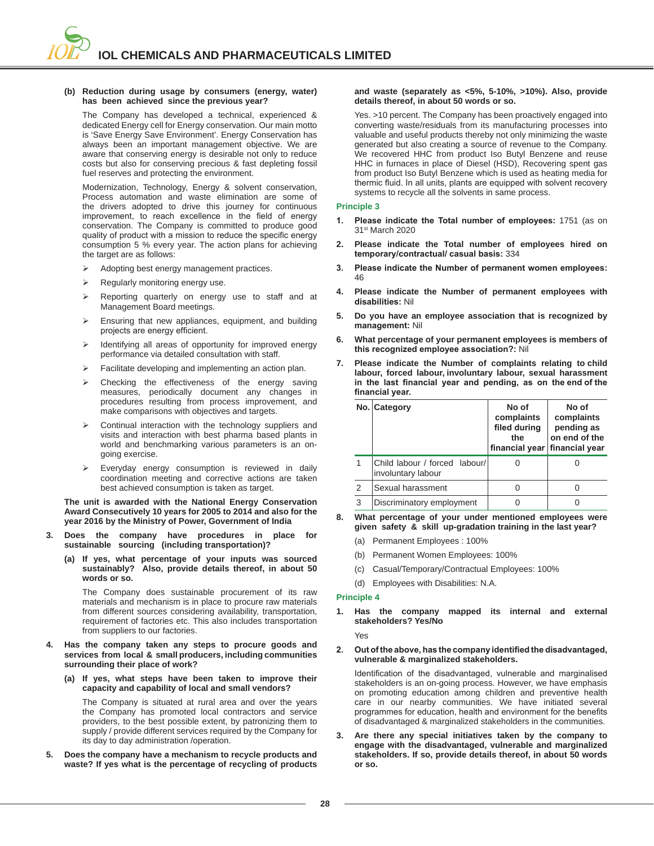#### **(b) Reduction during usage by consumers (energy, water) has been achieved since the previous year?**

 The Company has developed a technical, experienced & dedicated Energy cell for Energy conservation. Our main motto is 'Save Energy Save Environment'. Energy Conservation has always been an important management objective. We are aware that conserving energy is desirable not only to reduce costs but also for conserving precious & fast depleting fossil fuel reserves and protecting the environment.

 Modernization, Technology, Energy & solvent conservation, Process automation and waste elimination are some of the drivers adopted to drive this journey for continuous improvement, to reach excellence in the field of energy conservation. The Company is committed to produce good quality of product with a mission to reduce the specific energy consumption 5 % every year. The action plans for achieving the target are as follows:

- ¾ Adopting best energy management practices.
- $\triangleright$  Regularly monitoring energy use.
- $\triangleright$  Reporting quarterly on energy use to staff and at Management Board meetings.
- $\triangleright$  Ensuring that new appliances, equipment, and building projects are energy efficient.
- ¾ Identifying all areas of opportunity for improved energy performance via detailed consultation with staff.
- $\triangleright$  Facilitate developing and implementing an action plan.
- Checking the effectiveness of the energy saving measures, periodically document any changes in procedures resulting from process improvement, and make comparisons with objectives and targets.
- $\triangleright$  Continual interaction with the technology suppliers and visits and interaction with best pharma based plants in world and benchmarking various parameters is an ongoing exercise.
- $\triangleright$  Everyday energy consumption is reviewed in daily coordination meeting and corrective actions are taken best achieved consumption is taken as target.

**The unit is awarded with the National Energy Conservation Award Consecutively 10 years for 2005 to 2014 and also for the year 2016 by the Ministry of Power, Government of India**

- **3. Does the company have procedures in place for sustainable sourcing (including transportation)?**
	- **(a) If yes, what percentage of your inputs was sourced sustainably? Also, provide details thereof, in about 50 words or so.**

 The Company does sustainable procurement of its raw materials and mechanism is in place to procure raw materials from different sources considering availability, transportation, requirement of factories etc. This also includes transportation from suppliers to our factories.

- **4. Has the company taken any steps to procure goods and services from local & small producers, including communities surrounding their place of work?**
	- **(a) If yes, what steps have been taken to improve their capacity and capability of local and small vendors?**

 The Company is situated at rural area and over the years the Company has promoted local contractors and service providers, to the best possible extent, by patronizing them to supply / provide different services required by the Company for its day to day administration /operation.

**5. Does the company have a mechanism to recycle products and waste? If yes what is the percentage of recycling of products** 

## **and waste (separately as <5%, 5-10%, >10%). Also, provide details thereof, in about 50 words or so.**

 Yes. >10 percent. The Company has been proactively engaged into converting waste/residuals from its manufacturing processes into valuable and useful products thereby not only minimizing the waste generated but also creating a source of revenue to the Company. We recovered HHC from product Iso Butyl Benzene and reuse HHC in furnaces in place of Diesel (HSD), Recovering spent gas from product Iso Butyl Benzene which is used as heating media for thermic fluid. In all units, plants are equipped with solvent recovery systems to recycle all the solvents in same process.

## **Principle 3**

- **1. Please indicate the Total number of employees:** 1751 (as on 31st March 2020
- **2. Please indicate the Total number of employees hired on**  temporary/contractual/ casual basis: 334
- 3. Please indicate the Number of permanent women employees: 46
- **4. Please indicate the Number of permanent employees with disabilities: Nil**
- **5. Do you have an employee association that is recognized by**  management: Nil
- **6. What percentage of your permanent employees is members of**  this recognized employee association?: Nil
- **7. Please indicate the Number of complaints relating to child labour, forced labour, involuntary labour, sexual harassment**  in the last financial year and pending, as on the end of the financial year.

|                | No. Category                                        | No of<br>complaints<br>filed during<br>the<br>financial year financial year | No of<br>complaints<br>pending as<br>on end of the |
|----------------|-----------------------------------------------------|-----------------------------------------------------------------------------|----------------------------------------------------|
|                | Child labour / forced labour/<br>involuntary labour |                                                                             |                                                    |
| $\overline{2}$ | Sexual harassment                                   |                                                                             |                                                    |
| 3              | Discriminatory employment                           |                                                                             |                                                    |

- **8. What percentage of your under mentioned employees were given safety & skill up-gradation training in the last year?**
	- (a) Permanent Employees : 100%
	- (b) Permanent Women Employees: 100%
	- (c) Casual/Temporary/Contractual Employees: 100%
	- (d) Employees with Disabilities: N.A.

#### **Principle 4**

**1. Has the company mapped its internal and external stakeholders? Yes/No**

Yes

2. Out of the above, has the company identified the disadvantaged, **vulnerable & marginalized stakeholders.**

Identification of the disadvantaged, vulnerable and marginalised stakeholders is an on-going process. However, we have emphasis on promoting education among children and preventive health care in our nearby communities. We have initiated several programmes for education, health and environment for the benefits of disadvantaged & marginalized stakeholders in the communities.

**3. Are there any special initiatives taken by the company to engage with the disadvantaged, vulnerable and marginalized stakeholders. If so, provide details thereof, in about 50 words or so.**